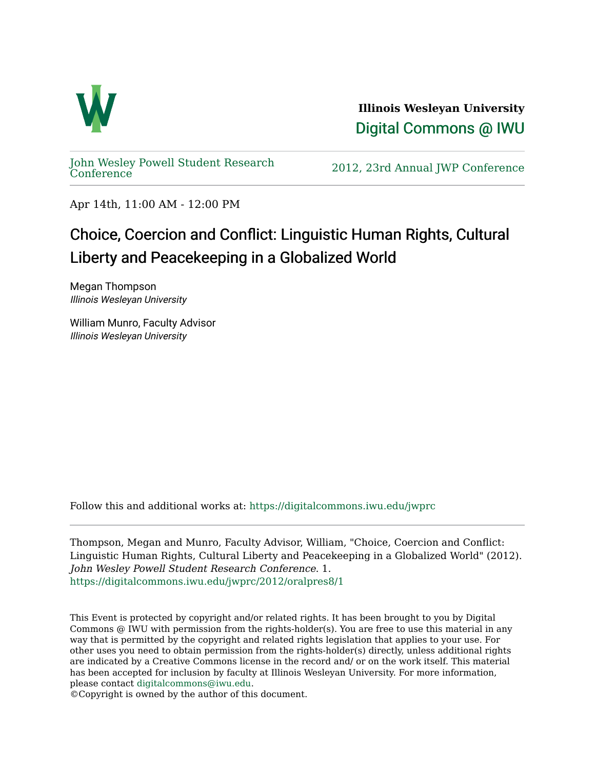

**Illinois Wesleyan University**  [Digital Commons @ IWU](https://digitalcommons.iwu.edu/) 

[John Wesley Powell Student Research](https://digitalcommons.iwu.edu/jwprc) 

2012, 23rd Annual JWP [Conference](https://digitalcommons.iwu.edu/jwprc)

Apr 14th, 11:00 AM - 12:00 PM

## Choice, Coercion and Conflict: Linguistic Human Rights, Cultural Liberty and Peacekeeping in a Globalized World

Megan Thompson Illinois Wesleyan University

William Munro, Faculty Advisor Illinois Wesleyan University

Follow this and additional works at: [https://digitalcommons.iwu.edu/jwprc](https://digitalcommons.iwu.edu/jwprc?utm_source=digitalcommons.iwu.edu%2Fjwprc%2F2012%2Foralpres8%2F1&utm_medium=PDF&utm_campaign=PDFCoverPages) 

Thompson, Megan and Munro, Faculty Advisor, William, "Choice, Coercion and Conflict: Linguistic Human Rights, Cultural Liberty and Peacekeeping in a Globalized World" (2012). John Wesley Powell Student Research Conference. 1. [https://digitalcommons.iwu.edu/jwprc/2012/oralpres8/1](https://digitalcommons.iwu.edu/jwprc/2012/oralpres8/1?utm_source=digitalcommons.iwu.edu%2Fjwprc%2F2012%2Foralpres8%2F1&utm_medium=PDF&utm_campaign=PDFCoverPages)

This Event is protected by copyright and/or related rights. It has been brought to you by Digital Commons @ IWU with permission from the rights-holder(s). You are free to use this material in any way that is permitted by the copyright and related rights legislation that applies to your use. For other uses you need to obtain permission from the rights-holder(s) directly, unless additional rights are indicated by a Creative Commons license in the record and/ or on the work itself. This material has been accepted for inclusion by faculty at Illinois Wesleyan University. For more information, please contact [digitalcommons@iwu.edu.](mailto:digitalcommons@iwu.edu)

©Copyright is owned by the author of this document.